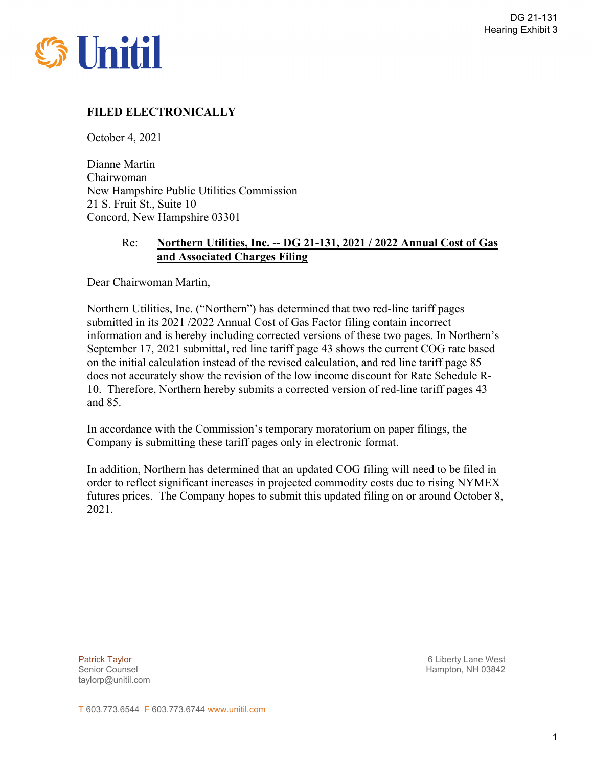

# **FILED ELECTRONICALLY**

October 4, 2021

Dianne Martin Chairwoman New Hampshire Public Utilities Commission 21 S. Fruit St., Suite 10 Concord, New Hampshire 03301

## Re: **Northern Utilities, Inc. -- DG 21-131, 2021 / 2022 Annual Cost of Gas and Associated Charges Filing**

Dear Chairwoman Martin,

Northern Utilities, Inc. ("Northern") has determined that two red-line tariff pages submitted in its 2021 /2022 Annual Cost of Gas Factor filing contain incorrect information and is hereby including corrected versions of these two pages. In Northern's September 17, 2021 submittal, red line tariff page 43 shows the current COG rate based on the initial calculation instead of the revised calculation, and red line tariff page 85 does not accurately show the revision of the low income discount for Rate Schedule R-10. Therefore, Northern hereby submits a corrected version of red-line tariff pages 43 and 85.

In accordance with the Commission's temporary moratorium on paper filings, the Company is submitting these tariff pages only in electronic format.

In addition, Northern has determined that an updated COG filing will need to be filed in order to reflect significant increases in projected commodity costs due to rising NYMEX futures prices. The Company hopes to submit this updated filing on or around October 8, 2021.

taylorp@unitil.com

 $\overline{a}$ 

Patrick Taylor 6 Liberty Lane West Senior Counsel National Accounts of the Counsel Hampton, NH 03842

T 603.773.6544 F 603.773.6744 www.unitil.com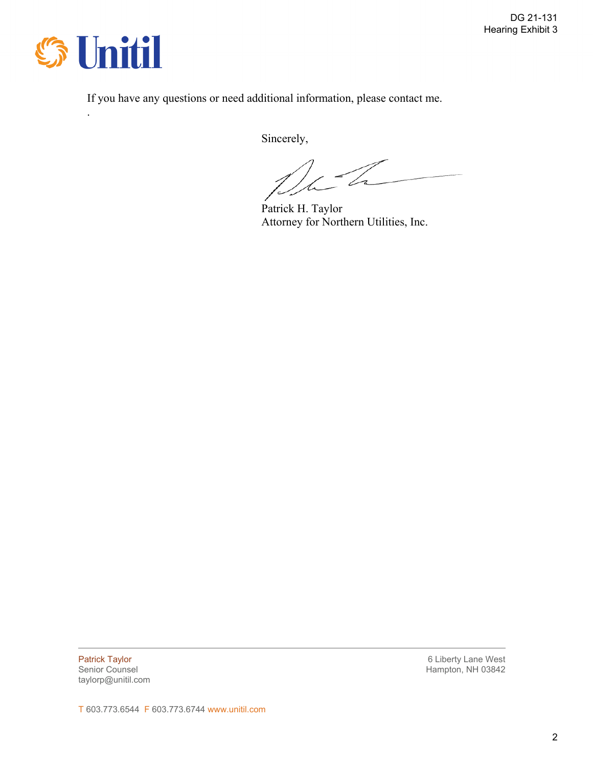

.

If you have any questions or need additional information, please contact me.

Sincerely,

D-

 Patrick H. Taylor Attorney for Northern Utilities, Inc.

taylorp@unitil.com

 $\overline{a}$ 

**Patrick Taylor Contract Taylor Contract Taylor Contract Taylor Contract Taylor 6 Liberty Lane West** Senior Counsel National Accounts of the Counsel Hampton, NH 03842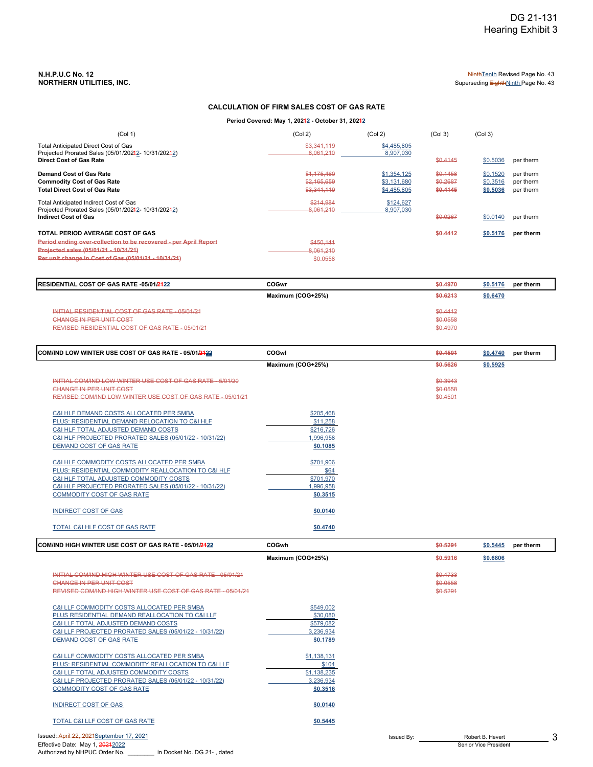# **N.H.P.U.C No. 12** Ninth Tenth Revised Page No. 43<br> **NORTHERN UTILITIES, INC.**<br>
Superseding Eighth<u>Ninth</u> Page No. 43

Superseding EighthNinth Page No. 43

### **CALCULATION OF FIRM SALES COST OF GAS RATE**

Period Covered: May 1, 202<mark>4<u>2</u> - October 31, 2024<u>2</u></mark>

| (Col 1)                                                                                                                                                                                               | (Col 2)                                   | (Col 2)                                   | (Col <sub>3</sub> )              | (Col <sub>3</sub> )              |                                     |
|-------------------------------------------------------------------------------------------------------------------------------------------------------------------------------------------------------|-------------------------------------------|-------------------------------------------|----------------------------------|----------------------------------|-------------------------------------|
| Total Anticipated Direct Cost of Gas<br>Projected Prorated Sales (05/01/20242-10/31/20242)<br><b>Direct Cost of Gas Rate</b>                                                                          | \$3.341.119<br>8.061.210                  | \$4,485,805<br>8,907,030                  | \$0.4145                         | \$0.5036                         | per therm                           |
| Demand Cost of Gas Rate<br><b>Commodity Cost of Gas Rate</b><br><b>Total Direct Cost of Gas Rate</b>                                                                                                  | \$1,175,460<br>\$2,165,659<br>\$3,341,119 | \$1,354,125<br>\$3,131,680<br>\$4,485,805 | \$0.1458<br>\$0.2687<br>\$0.4145 | \$0.1520<br>\$0.3516<br>\$0.5036 | per therm<br>per therm<br>per therm |
| Total Anticipated Indirect Cost of Gas<br>Projected Prorated Sales (05/01/20242-10/31/20242)<br><b>Indirect Cost of Gas</b>                                                                           | \$214,984<br>8.061.210                    | \$124,627<br>8,907,030                    | \$0.0267                         | \$0.0140                         | per therm                           |
| TOTAL PERIOD AVERAGE COST OF GAS<br>Period ending over-collection to be recovered - per April Report<br>Projected sales (05/01/21 - 10/31/21)<br>Per unit change in Cost of Gas (05/01/21 - 10/31/21) | \$450,141<br>8.061.210<br>\$0.0558        |                                           | \$0.4412                         | \$0.5176                         | per therm                           |

| <b>IRESIDENTIAL COST OF GAS RATE -05/01/2422</b> | COGwr             | \$0,4970 | \$0.5176 | per therm |
|--------------------------------------------------|-------------------|----------|----------|-----------|
|                                                  | Maximum (COG+25%) | \$0.6213 | \$0.6470 |           |
| INITIAL RESIDENTIAL COST OF GAS RATE - 05/01/21  |                   | \$0.4412 |          |           |
| <b>CHANGE IN PER UNIT COST</b>                   |                   | \$0.0558 |          |           |
| REVISED RESIDENTIAL COST OF GAS RATE - 05/01/21  |                   | \$0.4970 |          |           |

| <b>COM/IND LOW WINTER USE COST OF GAS RATE - 05/01/<del>2122</del></b>                                                                                                                                                                     | COGwl                                                      | \$0,4501                         | \$0.4740<br>per therm |
|--------------------------------------------------------------------------------------------------------------------------------------------------------------------------------------------------------------------------------------------|------------------------------------------------------------|----------------------------------|-----------------------|
|                                                                                                                                                                                                                                            | Maximum (COG+25%)                                          | \$0.5626                         | \$0.5925              |
| INITIAL COM/IND LOW WINTER USE COST OF GAS RATE - 5/01/20<br>CHANGE IN PER UNIT COST<br>REVISED COM/IND LOW WINTER USE COST OF GAS RATE - 05/01/21                                                                                         |                                                            | \$0,3943<br>\$0.0558<br>\$0.4501 |                       |
| C&I HLF DEMAND COSTS ALLOCATED PER SMBA<br>PLUS: RESIDENTIAL DEMAND RELOCATION TO C&I HLF<br>C&I HLF TOTAL ADJUSTED DEMAND COSTS<br>C&I HLF PROJECTED PRORATED SALES (05/01/22 - 10/31/22)<br>DEMAND COST OF GAS RATE                      | \$205,468<br>\$11,258<br>\$216,726<br>,996,958<br>\$0.1085 |                                  |                       |
| C&I HLF COMMODITY COSTS ALLOCATED PER SMBA<br>PLUS: RESIDENTIAL COMMODITY REALLOCATION TO C&I HLF<br>C&I HLF TOTAL ADJUSTED COMMODITY COSTS<br>C&I HLF PROJECTED PRORATED SALES (05/01/22 - 10/31/22)<br><b>COMMODITY COST OF GAS RATE</b> | \$701,906<br>\$64<br>\$701,970<br>,996,958<br>\$0.3515     |                                  |                       |
| <b>INDIRECT COST OF GAS</b>                                                                                                                                                                                                                | \$0.0140                                                   |                                  |                       |
| TOTAL C&I HLF COST OF GAS RATE                                                                                                                                                                                                             | \$0.4740                                                   |                                  |                       |

| COM/IND HIGH WINTER USE COST OF GAS RATE - 05/01/2422                                                                                                                                                                                                 | COGwh                                                        |            | \$0.5291                         | \$0.5445                                  | per therm |
|-------------------------------------------------------------------------------------------------------------------------------------------------------------------------------------------------------------------------------------------------------|--------------------------------------------------------------|------------|----------------------------------|-------------------------------------------|-----------|
|                                                                                                                                                                                                                                                       | Maximum (COG+25%)                                            |            | \$0.5916                         | \$0.6806                                  |           |
| INITIAL COM/IND HIGH WINTER USE COST OF GAS RATE - 05/01/21<br><b>CHANGE IN PER UNIT COST</b><br>REVISED COM/IND HIGH WINTER USE COST OF GAS RATE - 05/01/21                                                                                          |                                                              |            | \$0.4733<br>\$0.0558<br>\$0.5291 |                                           |           |
| C&I LLF COMMODITY COSTS ALLOCATED PER SMBA<br>PLUS RESIDENTIAL DEMAND REALLOCATION TO C&I LLF<br>C&I LLF TOTAL ADJUSTED DEMAND COSTS<br>C&I LLF PROJECTED PRORATED SALES (05/01/22 - 10/31/22)<br>DEMAND COST OF GAS RATE                             | \$549,002<br>\$30,080<br>\$579,082<br>3,236,934<br>\$0.1789  |            |                                  |                                           |           |
| <b>C&amp;I LLF COMMODITY COSTS ALLOCATED PER SMBA</b><br>PLUS: RESIDENTIAL COMMODITY REALLOCATION TO C&I LLF<br>C&I LLF TOTAL ADJUSTED COMMODITY COSTS<br>C&I LLF PROJECTED PRORATED SALES (05/01/22 - 10/31/22)<br><b>COMMODITY COST OF GAS RATE</b> | \$1,138,131<br>\$104<br>\$1,138,235<br>3,236,934<br>\$0.3516 |            |                                  |                                           |           |
| <b>INDIRECT COST OF GAS</b>                                                                                                                                                                                                                           | \$0.0140                                                     |            |                                  |                                           |           |
| TOTAL C&I LLF COST OF GAS RATE                                                                                                                                                                                                                        | \$0.5445                                                     |            |                                  |                                           |           |
| Issued: April 22, 2021September 17, 2021<br>Effective Date: May 1, 20212022                                                                                                                                                                           |                                                              | Issued By: |                                  | Robert B. Hevert<br>Senior Vice President |           |

Authorized by NHPUC Order No. \_\_\_\_\_\_\_\_ in Docket No. DG 21- , dated